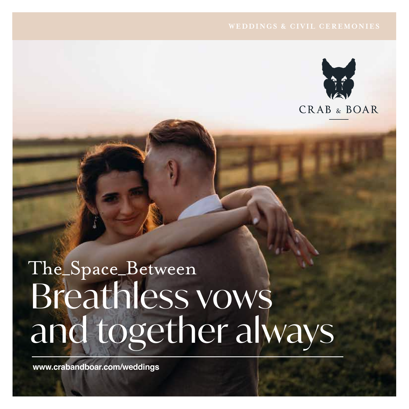

# The\_Space\_Between Breathless vows and together always

**www.crabandboar.com/weddings**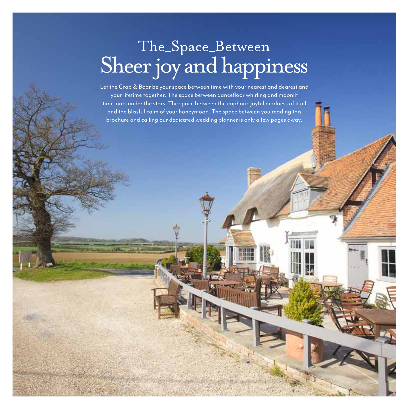# The\_Space\_Between Sheer joy and happiness

Let the Crab & Boar be your space between time with your nearest and dearest and your lifetime together. The space between dancefloor whirling and moonlit time-outs under the stars. The space between the euphoric joyful madness of it all and the blissful calm of your honeymoon. The space between you reading this brochure and calling our dedicated wedding planner is only a few pages away.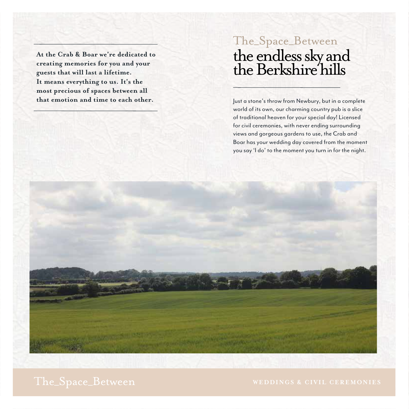**At the Crab & Boar we're dedicated to creating memories for you and your guests that will last a lifetime. It means everything to us. It's the most precious of spaces between all that emotion and time to each other.**

## the endless sky and the Berkshire hills The\_Space\_Between

Just a stone's throw from Newbury, but in a complete world of its own, our charming country pub is a slice of traditional heaven for your special day! Licensed for civil ceremonies, with never ending surrounding views and gorgeous gardens to use, the Crab and Boar has your wedding day covered from the moment you say 'I do' to the moment you turn in for the night.

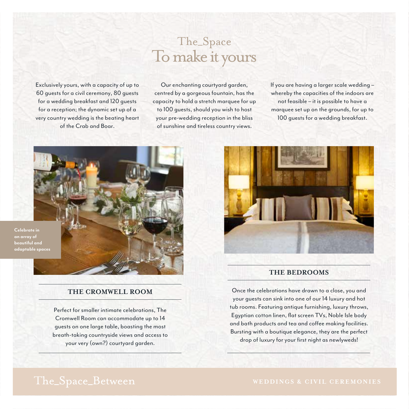Exclusively yours, with a capacity of up to 60 guests for a civil ceremony, 80 guests for a wedding breakfast and 120 guests for a reception; the dynamic set up of a very country wedding is the beating heart of the Crab and Boar.

## The\_Space To make it yours

Our enchanting courtyard garden, centred by a gorgeous fountain, has the capacity to hold a stretch marquee for up to 100 guests, should you wish to host your pre-wedding reception in the bliss of sunshine and tireless country views.

If you are having a larger scale wedding – whereby the capacities of the indoors are not feasible – it is possible to have a marquee set up on the grounds, for up to 100 guests for a wedding breakfast.



**Celebrate in an array of beautiful and adaptable spaces**

### **THE CROMWELL ROOM**

Perfect for smaller intimate celebrations, The Cromwell Room can accommodate up to 14 guests on one large table, boasting the most breath-taking countryside views and access to your very (own?) courtyard garden.



### **THE BEDROOMS**

Once the celebrations have drawn to a close, you and your guests can sink into one of our 14 luxury and hot tub rooms. Featuring antique furnishing, luxury throws, Egyptian cotton linen, flat screen TVs, Noble Isle body and bath products and tea and coffee making facilities. Bursting with a boutique elegance, they are the perfect drop of luxury for your first night as newlyweds!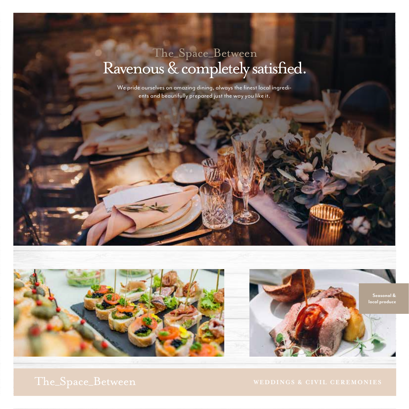## Ravenous & completely satisfied. The\_Space\_Between

We pride ourselves on amazing dining, always the finest local ingredients and beautifully prepared just the way you like it.



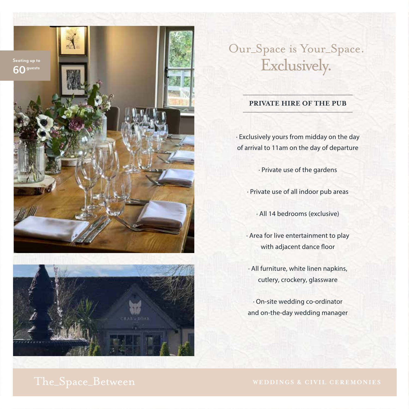



# Our\_Space is Your\_Space.

### **PRIVATE HIRE OF THE PUB**

**·** Exclusively yours from midday on the day of arrival to 11am on the day of departure

**·** Private use of the gardens

**·** Private use of all indoor pub areas

**·** All 14 bedrooms (exclusive)

**·** Area for live entertainment to play with adjacent dance floor

**·** All furniture, white linen napkins, cutlery, crockery, glassware

**·** On-site wedding co-ordinator and on-the-day wedding manager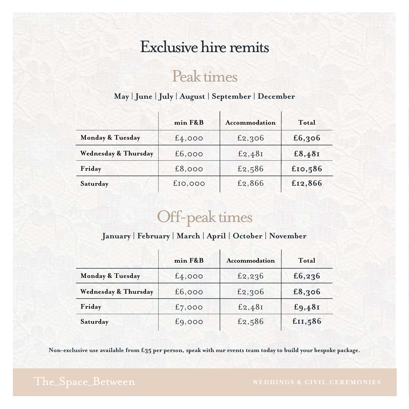## Exclusive hire remits

## Peak times

## **May | June | July | August | September | December**

|                      | $min$ $F&B$ | Accommodation | Total   |
|----------------------|-------------|---------------|---------|
| Monday & Tuesday     | £4,000      | £2,306        | £6,306  |
| Wednesday & Thursday | £6,000      | £2,48I        | £8,48I  |
| Friday               | £8,000      | £2,586        | £10,586 |
| Saturday             | £10,000     | £2,866        | £12,866 |

# Off-peak times

## **January | February | March | April | October | November**

|                                 | min F&B   | Accommodation | Total   |
|---------------------------------|-----------|---------------|---------|
| Monday & Tuesday                | £4,000    | £2, 236       | £6,236  |
| <b>Wednesday &amp; Thursday</b> | £6,000    | £2,306        | £8,306  |
| Friday                          | £7,000    | £2,48I        | £9,48I  |
| Saturday                        | $f_9,000$ | £2,586        | £II,586 |

Non-exclusive use available from £35 per person, speak with our events team today to build your bespoke package.